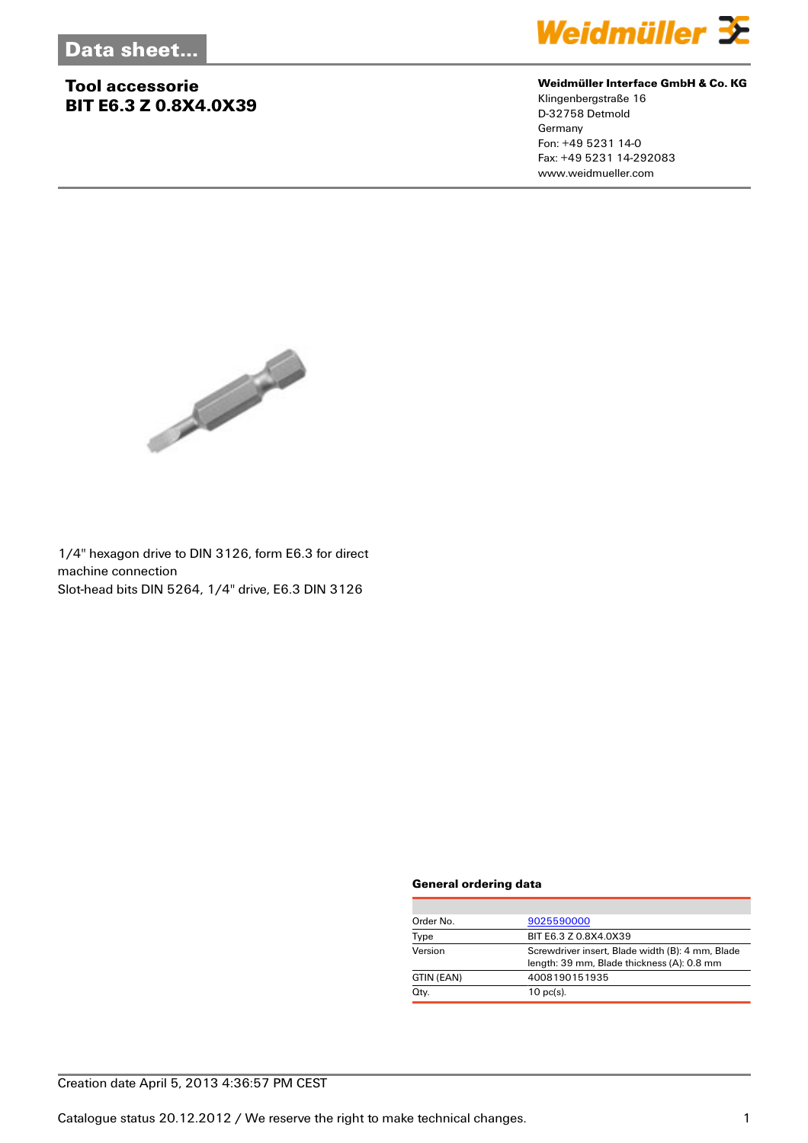## **Tool accessorie BIT E6.3 Z 0.8X4.0X39**



#### **Weidmüller Interface GmbH & Co. KG**

Klingenbergstraße 16 D-32758 Detmold Germany Fon: +49 5231 14-0 Fax: +49 5231 14-292083 www.weidmueller.com



1/4'' hexagon drive to DIN 3126, form E6.3 for direct machine connection Slot-head bits DIN 5264, 1/4'' drive, E6.3 DIN 3126

#### **General ordering data**

| Order No.  | 9025590000                                                                                     |
|------------|------------------------------------------------------------------------------------------------|
| Type       | BIT E6.3 Z 0.8X4.0X39                                                                          |
| Version    | Screwdriver insert, Blade width (B): 4 mm, Blade<br>length: 39 mm, Blade thickness (A): 0.8 mm |
| GTIN (EAN) | 4008190151935                                                                                  |
| Qty.       | $10$ pc(s).                                                                                    |